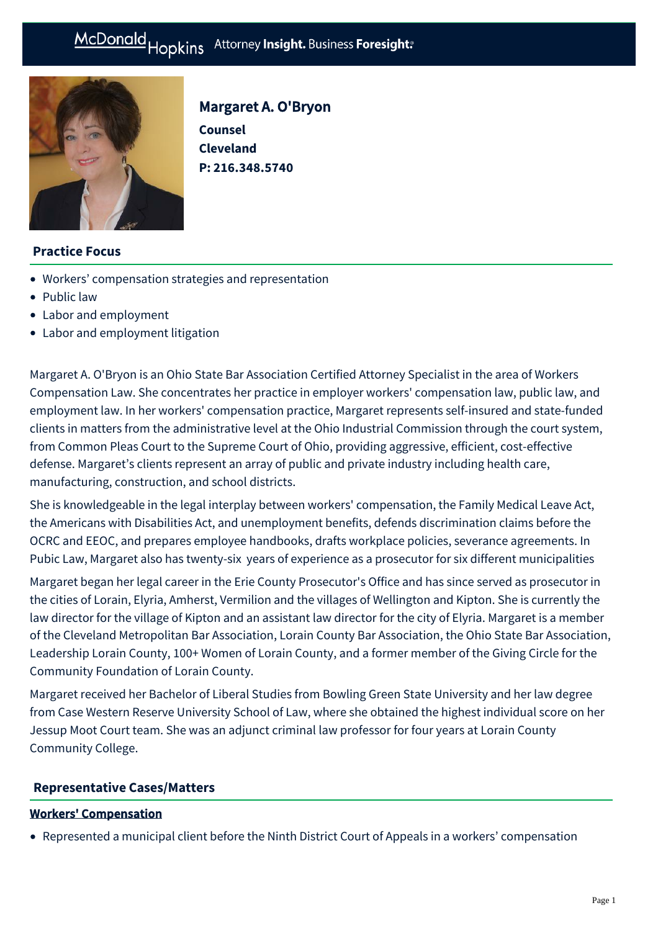

# Margaret A. O'Bryon

**Counsel Cleveland P: [216.348.5740](tel:216.348.5740)**

## **Practice Focus**

- [Workers' compensation strategies and representation](https://mcdonaldhopkins.com/Expertise/Labor-and-employment/Workers-comp-strategies)
- [Public law](https://mcdonaldhopkins.com/Expertise/Public-law)
- [Labor and employment](https://mcdonaldhopkins.com/Expertise/Labor-and-employment)
- [Labor and employment litigation](https://mcdonaldhopkins.com/Expertise/Labor-and-employment/Labor-and-employment-litigation)

Margaret A. O'Bryon is an Ohio State Bar Association Certified Attorney Specialist in the area of Workers Compensation Law. She concentrates her practice in employer workers' compensation law, public law, and employment law. In her workers' compensation practice, Margaret represents self-insured and state-funded clients in matters from the administrative level at the Ohio Industrial Commission through the court system, from Common Pleas Court to the Supreme Court of Ohio, providing aggressive, efficient, cost-effective defense. Margaret's clients represent an array of public and private industry including health care, manufacturing, construction, and school districts.

She is knowledgeable in the legal interplay between workers' compensation, the Family Medical Leave Act, the Americans with Disabilities Act, and unemployment benefits, defends discrimination claims before the OCRC and EEOC, and prepares employee handbooks, drafts workplace policies, severance agreements. In Pubic Law, Margaret also has twenty-six years of experience as a prosecutor for six different municipalities

Margaret began her legal career in the Erie County Prosecutor's Office and has since served as prosecutor in the cities of Lorain, Elyria, Amherst, Vermilion and the villages of Wellington and Kipton. She is currently the law director for the village of Kipton and an assistant law director for the city of Elyria. Margaret is a member of the Cleveland Metropolitan Bar Association, Lorain County Bar Association, the Ohio State Bar Association, Leadership Lorain County, 100+ Women of Lorain County, and a former member of the Giving Circle for the Community Foundation of Lorain County.

Margaret received her Bachelor of Liberal Studies from Bowling Green State University and her law degree from Case Western Reserve University School of Law, where she obtained the highest individual score on her Jessup Moot Court team. She was an adjunct criminal law professor for four years at Lorain County Community College.

### **[Representative Cases/Matters](#page-0-0)**

#### <span id="page-0-0"></span>Workers' Compensation

Represented a municipal client before the Ninth District Court of Appeals in a workers' compensation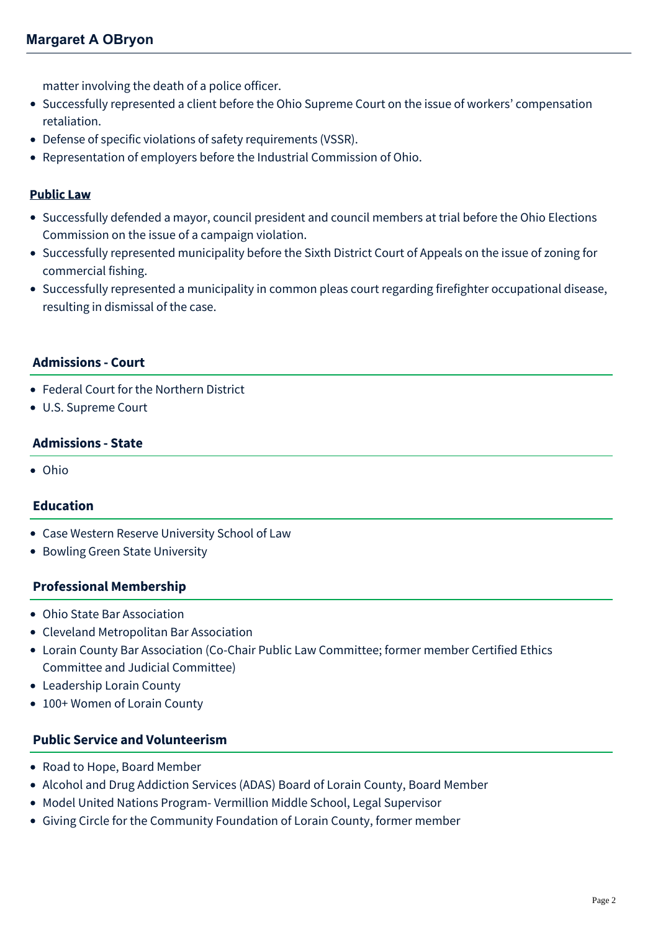matter involving the death of a police officer.

- Successfully represented a client before the Ohio Supreme Court on the issue of workers' compensation retaliation.
- Defense of specific violations of safety requirements (VSSR).
- Representation of employers before the Industrial Commission of Ohio.

## Public Law

- Successfully defended a mayor, council president and council members at trial before the Ohio Elections Commission on the issue of a campaign violation.
- Successfully represented municipality before the Sixth District Court of Appeals on the issue of zoning for commercial fishing.
- Successfully represented a municipality in common pleas court regarding firefighter occupational disease, resulting in dismissal of the case.

### **Admissions - Court**

- Federal Court for the Northern District
- U.S. Supreme Court

### **Admissions - State**

Ohio

### **Education**

- Case Western Reserve University School of Law
- Bowling Green State University

### **Professional Membership**

- Ohio State Bar Association
- Cleveland Metropolitan Bar Association
- Lorain County Bar Association (Co-Chair Public Law Committee; former member Certified Ethics Committee and Judicial Committee)
- Leadership Lorain County
- 100+ Women of Lorain County

### **Public Service and Volunteerism**

- Road to Hope, Board Member
- Alcohol and Drug Addiction Services (ADAS) Board of Lorain County, Board Member
- Model United Nations Program- Vermillion Middle School, Legal Supervisor
- Giving Circle for the Community Foundation of Lorain County, former member